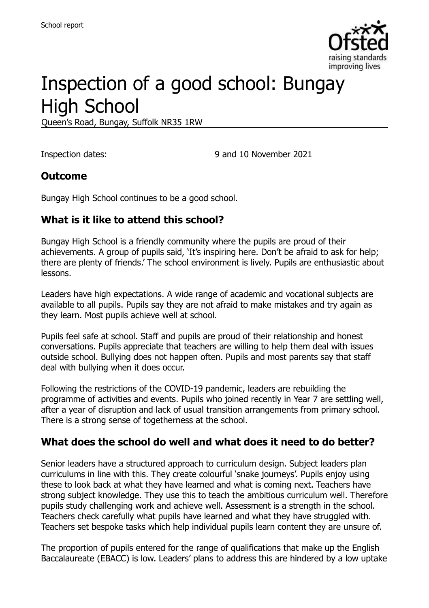

# Inspection of a good school: Bungay High School

Queen's Road, Bungay, Suffolk NR35 1RW

Inspection dates: 9 and 10 November 2021

#### **Outcome**

Bungay High School continues to be a good school.

# **What is it like to attend this school?**

Bungay High School is a friendly community where the pupils are proud of their achievements. A group of pupils said, 'It's inspiring here. Don't be afraid to ask for help; there are plenty of friends.' The school environment is lively. Pupils are enthusiastic about lessons.

Leaders have high expectations. A wide range of academic and vocational subjects are available to all pupils. Pupils say they are not afraid to make mistakes and try again as they learn. Most pupils achieve well at school.

Pupils feel safe at school. Staff and pupils are proud of their relationship and honest conversations. Pupils appreciate that teachers are willing to help them deal with issues outside school. Bullying does not happen often. Pupils and most parents say that staff deal with bullying when it does occur.

Following the restrictions of the COVID-19 pandemic, leaders are rebuilding the programme of activities and events. Pupils who joined recently in Year 7 are settling well, after a year of disruption and lack of usual transition arrangements from primary school. There is a strong sense of togetherness at the school.

# **What does the school do well and what does it need to do better?**

Senior leaders have a structured approach to curriculum design. Subject leaders plan curriculums in line with this. They create colourful 'snake journeys'. Pupils enjoy using these to look back at what they have learned and what is coming next. Teachers have strong subject knowledge. They use this to teach the ambitious curriculum well. Therefore pupils study challenging work and achieve well. Assessment is a strength in the school. Teachers check carefully what pupils have learned and what they have struggled with. Teachers set bespoke tasks which help individual pupils learn content they are unsure of.

The proportion of pupils entered for the range of qualifications that make up the English Baccalaureate (EBACC) is low. Leaders' plans to address this are hindered by a low uptake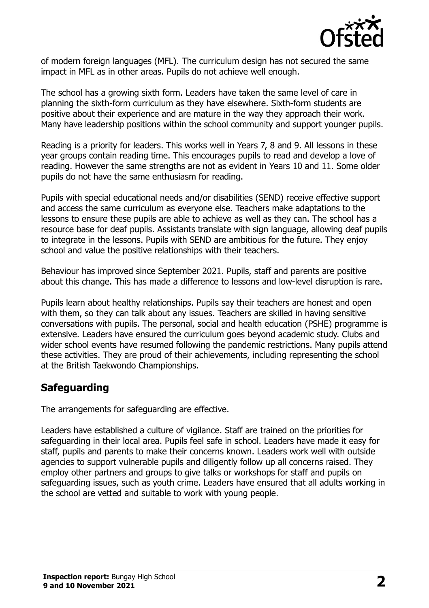

of modern foreign languages (MFL). The curriculum design has not secured the same impact in MFL as in other areas. Pupils do not achieve well enough.

The school has a growing sixth form. Leaders have taken the same level of care in planning the sixth-form curriculum as they have elsewhere. Sixth-form students are positive about their experience and are mature in the way they approach their work. Many have leadership positions within the school community and support younger pupils.

Reading is a priority for leaders. This works well in Years 7, 8 and 9. All lessons in these year groups contain reading time. This encourages pupils to read and develop a love of reading. However the same strengths are not as evident in Years 10 and 11. Some older pupils do not have the same enthusiasm for reading.

Pupils with special educational needs and/or disabilities (SEND) receive effective support and access the same curriculum as everyone else. Teachers make adaptations to the lessons to ensure these pupils are able to achieve as well as they can. The school has a resource base for deaf pupils. Assistants translate with sign language, allowing deaf pupils to integrate in the lessons. Pupils with SEND are ambitious for the future. They enjoy school and value the positive relationships with their teachers.

Behaviour has improved since September 2021. Pupils, staff and parents are positive about this change. This has made a difference to lessons and low-level disruption is rare.

Pupils learn about healthy relationships. Pupils say their teachers are honest and open with them, so they can talk about any issues. Teachers are skilled in having sensitive conversations with pupils. The personal, social and health education (PSHE) programme is extensive. Leaders have ensured the curriculum goes beyond academic study. Clubs and wider school events have resumed following the pandemic restrictions. Many pupils attend these activities. They are proud of their achievements, including representing the school at the British Taekwondo Championships.

# **Safeguarding**

The arrangements for safeguarding are effective.

Leaders have established a culture of vigilance. Staff are trained on the priorities for safeguarding in their local area. Pupils feel safe in school. Leaders have made it easy for staff, pupils and parents to make their concerns known. Leaders work well with outside agencies to support vulnerable pupils and diligently follow up all concerns raised. They employ other partners and groups to give talks or workshops for staff and pupils on safeguarding issues, such as youth crime. Leaders have ensured that all adults working in the school are vetted and suitable to work with young people.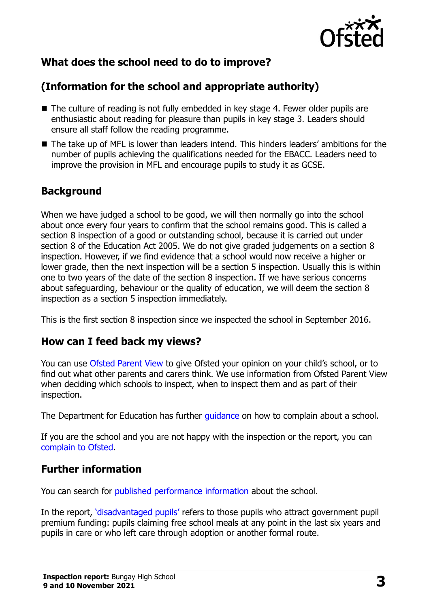

# **What does the school need to do to improve?**

# **(Information for the school and appropriate authority)**

- The culture of reading is not fully embedded in key stage 4. Fewer older pupils are enthusiastic about reading for pleasure than pupils in key stage 3. Leaders should ensure all staff follow the reading programme.
- The take up of MFL is lower than leaders intend. This hinders leaders' ambitions for the number of pupils achieving the qualifications needed for the EBACC. Leaders need to improve the provision in MFL and encourage pupils to study it as GCSE.

# **Background**

When we have judged a school to be good, we will then normally go into the school about once every four years to confirm that the school remains good. This is called a section 8 inspection of a good or outstanding school, because it is carried out under section 8 of the Education Act 2005. We do not give graded judgements on a section 8 inspection. However, if we find evidence that a school would now receive a higher or lower grade, then the next inspection will be a section 5 inspection. Usually this is within one to two years of the date of the section 8 inspection. If we have serious concerns about safeguarding, behaviour or the quality of education, we will deem the section 8 inspection as a section 5 inspection immediately.

This is the first section 8 inspection since we inspected the school in September 2016.

# **How can I feed back my views?**

You can use [Ofsted Parent View](https://parentview.ofsted.gov.uk/) to give Ofsted your opinion on your child's school, or to find out what other parents and carers think. We use information from Ofsted Parent View when deciding which schools to inspect, when to inspect them and as part of their inspection.

The Department for Education has further quidance on how to complain about a school.

If you are the school and you are not happy with the inspection or the report, you can [complain to Ofsted.](https://www.gov.uk/complain-ofsted-report)

# **Further information**

You can search for [published performance information](http://www.compare-school-performance.service.gov.uk/) about the school.

In the report, '[disadvantaged pupils](http://www.gov.uk/guidance/pupil-premium-information-for-schools-and-alternative-provision-settings)' refers to those pupils who attract government pupil premium funding: pupils claiming free school meals at any point in the last six years and pupils in care or who left care through adoption or another formal route.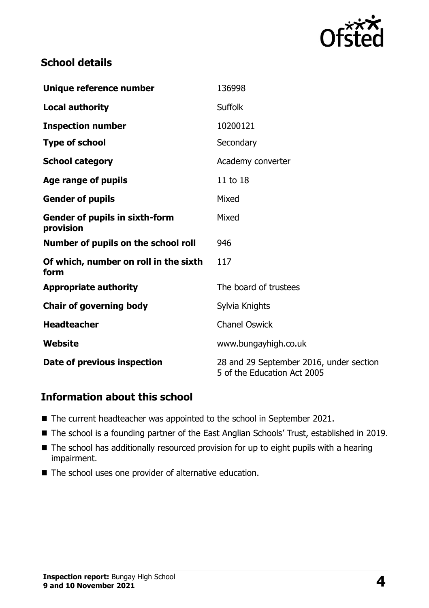

# **School details**

| Unique reference number                            | 136998                                                                 |
|----------------------------------------------------|------------------------------------------------------------------------|
| <b>Local authority</b>                             | <b>Suffolk</b>                                                         |
| <b>Inspection number</b>                           | 10200121                                                               |
| <b>Type of school</b>                              | Secondary                                                              |
| <b>School category</b>                             | Academy converter                                                      |
| Age range of pupils                                | 11 to 18                                                               |
| <b>Gender of pupils</b>                            | Mixed                                                                  |
| <b>Gender of pupils in sixth-form</b><br>provision | Mixed                                                                  |
| Number of pupils on the school roll                | 946                                                                    |
| Of which, number on roll in the sixth<br>form      | 117                                                                    |
| <b>Appropriate authority</b>                       | The board of trustees                                                  |
| <b>Chair of governing body</b>                     | Sylvia Knights                                                         |
| <b>Headteacher</b>                                 | <b>Chanel Oswick</b>                                                   |
| Website                                            | www.bungayhigh.co.uk                                                   |
| Date of previous inspection                        | 28 and 29 September 2016, under section<br>5 of the Education Act 2005 |

# **Information about this school**

- The current headteacher was appointed to the school in September 2021.
- The school is a founding partner of the East Anglian Schools' Trust, established in 2019.
- The school has additionally resourced provision for up to eight pupils with a hearing impairment.
- The school uses one provider of alternative education.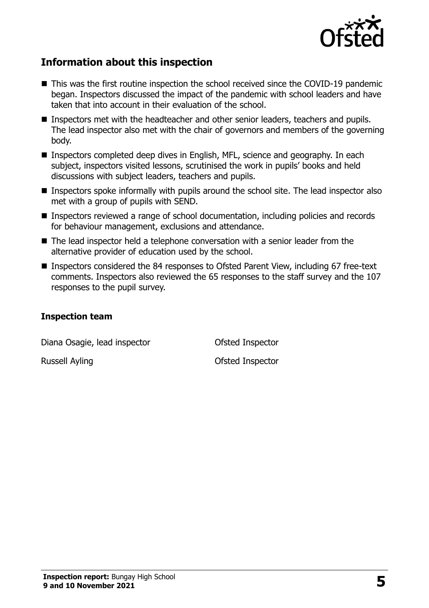

# **Information about this inspection**

- This was the first routine inspection the school received since the COVID-19 pandemic began. Inspectors discussed the impact of the pandemic with school leaders and have taken that into account in their evaluation of the school.
- Inspectors met with the headteacher and other senior leaders, teachers and pupils. The lead inspector also met with the chair of governors and members of the governing body.
- Inspectors completed deep dives in English, MFL, science and geography. In each subject, inspectors visited lessons, scrutinised the work in pupils' books and held discussions with subject leaders, teachers and pupils.
- **Inspectors spoke informally with pupils around the school site. The lead inspector also** met with a group of pupils with SEND.
- Inspectors reviewed a range of school documentation, including policies and records for behaviour management, exclusions and attendance.
- The lead inspector held a telephone conversation with a senior leader from the alternative provider of education used by the school.
- Inspectors considered the 84 responses to Ofsted Parent View, including 67 free-text comments. Inspectors also reviewed the 65 responses to the staff survey and the 107 responses to the pupil survey.

#### **Inspection team**

Diana Osagie, lead inspector **Conservation** Ofsted Inspector

Russell Ayling **Contract Contract Contract Contract Contract Contract Contract Contract Contract Contract Contract Contract Contract Contract Contract Contract Contract Contract Contract Contract Contract Contract Contract**